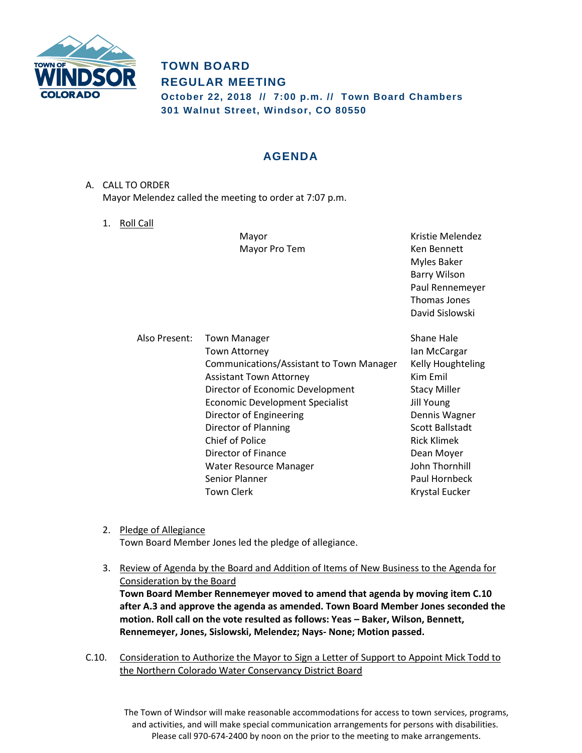

## **TOWN BOARD REGULAR MEETING October 22, 2018 // 7:00 p.m. // Town Board Chambers 301 Walnut Street, Windsor, CO 80550**

# **AGENDA**

- A. CALL TO ORDER Mayor Melendez called the meeting to order at 7:07 p.m.
	- 1. Roll Call

Mayor Pro Tem **Ken Bennett** 

Mayor **Mayor** Kristie Melendez Myles Baker Barry Wilson Paul Rennemeyer Thomas Jones David Sislowski

| Shane Hale                                                           |
|----------------------------------------------------------------------|
| lan McCargar                                                         |
| Communications/Assistant to Town Manager<br><b>Kelly Houghteling</b> |
| Kim Emil                                                             |
| Director of Economic Development<br><b>Stacy Miller</b>              |
| Jill Young                                                           |
| Dennis Wagner                                                        |
| Scott Ballstadt                                                      |
| Rick Klimek                                                          |
| Dean Moyer                                                           |
| John Thornhill                                                       |
| Paul Hornbeck                                                        |
| <b>Krystal Eucker</b>                                                |
|                                                                      |

- 2. Pledge of Allegiance Town Board Member Jones led the pledge of allegiance.
- 3. Review of Agenda by the Board and Addition of Items of New Business to the Agenda for Consideration by the Board **Town Board Member Rennemeyer moved to amend that agenda by moving item C.10 after A.3 and approve the agenda as amended. Town Board Member Jones seconded the motion. Roll call on the vote resulted as follows: Yeas – Baker, Wilson, Bennett, Rennemeyer, Jones, Sislowski, Melendez; Nays- None; Motion passed.**
- C.10. Consideration to Authorize the Mayor to Sign a Letter of Support to Appoint Mick Todd to the Northern Colorado Water Conservancy District Board

The Town of Windsor will make reasonable accommodations for access to town services, programs, and activities, and will make special communication arrangements for persons with disabilities. Please call 970-674-2400 by noon on the prior to the meeting to make arrangements.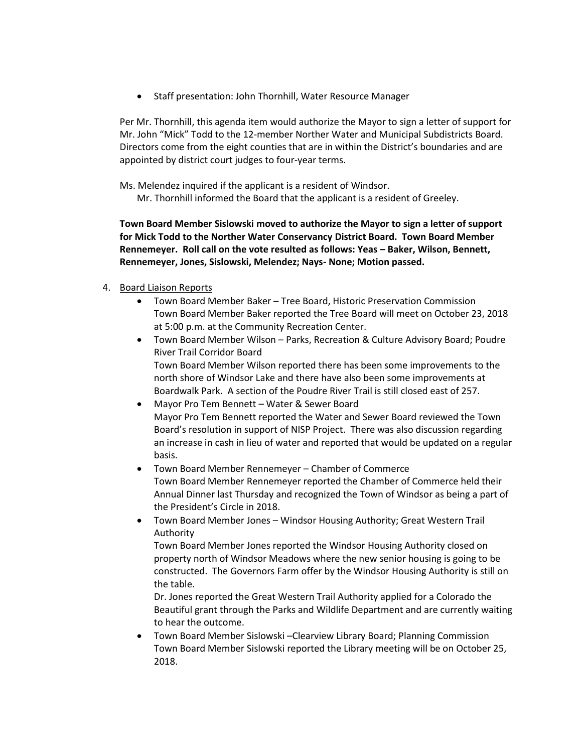• Staff presentation: John Thornhill, Water Resource Manager

Per Mr. Thornhill, this agenda item would authorize the Mayor to sign a letter of support for Mr. John "Mick" Todd to the 12-member Norther Water and Municipal Subdistricts Board. Directors come from the eight counties that are in within the District's boundaries and are appointed by district court judges to four-year terms.

Ms. Melendez inquired if the applicant is a resident of Windsor.

Mr. Thornhill informed the Board that the applicant is a resident of Greeley.

**Town Board Member Sislowski moved to authorize the Mayor to sign a letter of support for Mick Todd to the Norther Water Conservancy District Board. Town Board Member Rennemeyer. Roll call on the vote resulted as follows: Yeas – Baker, Wilson, Bennett, Rennemeyer, Jones, Sislowski, Melendez; Nays- None; Motion passed.**

### 4. Board Liaison Reports

- Town Board Member Baker Tree Board, Historic Preservation Commission Town Board Member Baker reported the Tree Board will meet on October 23, 2018 at 5:00 p.m. at the Community Recreation Center.
- Town Board Member Wilson Parks, Recreation & Culture Advisory Board; Poudre River Trail Corridor Board Town Board Member Wilson reported there has been some improvements to the north shore of Windsor Lake and there have also been some improvements at Boardwalk Park. A section of the Poudre River Trail is still closed east of 257.
- Mayor Pro Tem Bennett Water & Sewer Board Mayor Pro Tem Bennett reported the Water and Sewer Board reviewed the Town Board's resolution in support of NISP Project. There was also discussion regarding an increase in cash in lieu of water and reported that would be updated on a regular basis.
- Town Board Member Rennemeyer Chamber of Commerce Town Board Member Rennemeyer reported the Chamber of Commerce held their Annual Dinner last Thursday and recognized the Town of Windsor as being a part of the President's Circle in 2018.
- Town Board Member Jones Windsor Housing Authority; Great Western Trail Authority

Town Board Member Jones reported the Windsor Housing Authority closed on property north of Windsor Meadows where the new senior housing is going to be constructed. The Governors Farm offer by the Windsor Housing Authority is still on the table.

Dr. Jones reported the Great Western Trail Authority applied for a Colorado the Beautiful grant through the Parks and Wildlife Department and are currently waiting to hear the outcome.

 Town Board Member Sislowski –Clearview Library Board; Planning Commission Town Board Member Sislowski reported the Library meeting will be on October 25, 2018.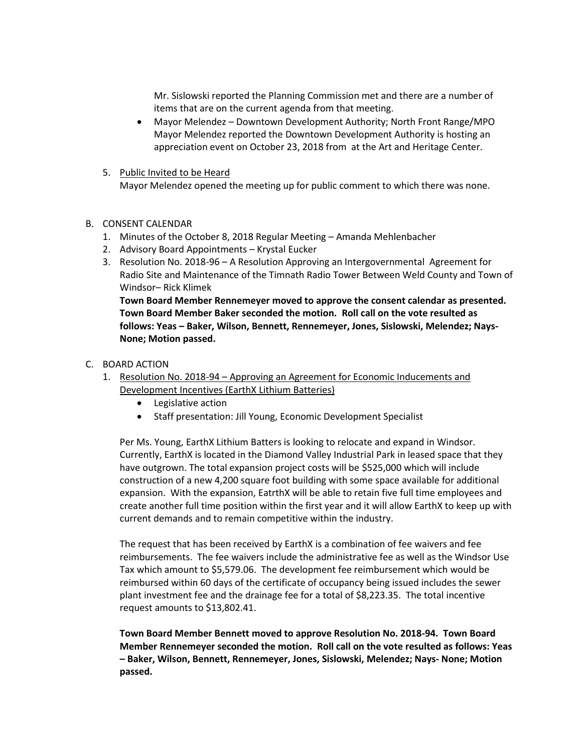Mr. Sislowski reported the Planning Commission met and there are a number of items that are on the current agenda from that meeting.

- Mayor Melendez Downtown Development Authority; North Front Range/MPO Mayor Melendez reported the Downtown Development Authority is hosting an appreciation event on October 23, 2018 from at the Art and Heritage Center.
- 5. Public Invited to be Heard Mayor Melendez opened the meeting up for public comment to which there was none.

#### B. CONSENT CALENDAR

- 1. Minutes of the October 8, 2018 Regular Meeting Amanda Mehlenbacher
- 2. Advisory Board Appointments Krystal Eucker
- 3. Resolution No. 2018-96 A Resolution Approving an Intergovernmental Agreement for Radio Site and Maintenance of the Timnath Radio Tower Between Weld County and Town of Windsor– Rick Klimek

**Town Board Member Rennemeyer moved to approve the consent calendar as presented. Town Board Member Baker seconded the motion. Roll call on the vote resulted as follows: Yeas – Baker, Wilson, Bennett, Rennemeyer, Jones, Sislowski, Melendez; Nays-None; Motion passed.**

#### C. BOARD ACTION

- 1. Resolution No. 2018-94 Approving an Agreement for Economic Inducements and Development Incentives (EarthX Lithium Batteries)
	- Legislative action
	- Staff presentation: Jill Young, Economic Development Specialist

Per Ms. Young, EarthX Lithium Batters is looking to relocate and expand in Windsor. Currently, EarthX is located in the Diamond Valley Industrial Park in leased space that they have outgrown. The total expansion project costs will be \$525,000 which will include construction of a new 4,200 square foot building with some space available for additional expansion. With the expansion, EatrthX will be able to retain five full time employees and create another full time position within the first year and it will allow EarthX to keep up with current demands and to remain competitive within the industry.

The request that has been received by EarthX is a combination of fee waivers and fee reimbursements. The fee waivers include the administrative fee as well as the Windsor Use Tax which amount to \$5,579.06. The development fee reimbursement which would be reimbursed within 60 days of the certificate of occupancy being issued includes the sewer plant investment fee and the drainage fee for a total of \$8,223.35. The total incentive request amounts to \$13,802.41.

**Town Board Member Bennett moved to approve Resolution No. 2018-94. Town Board Member Rennemeyer seconded the motion. Roll call on the vote resulted as follows: Yeas – Baker, Wilson, Bennett, Rennemeyer, Jones, Sislowski, Melendez; Nays- None; Motion passed.**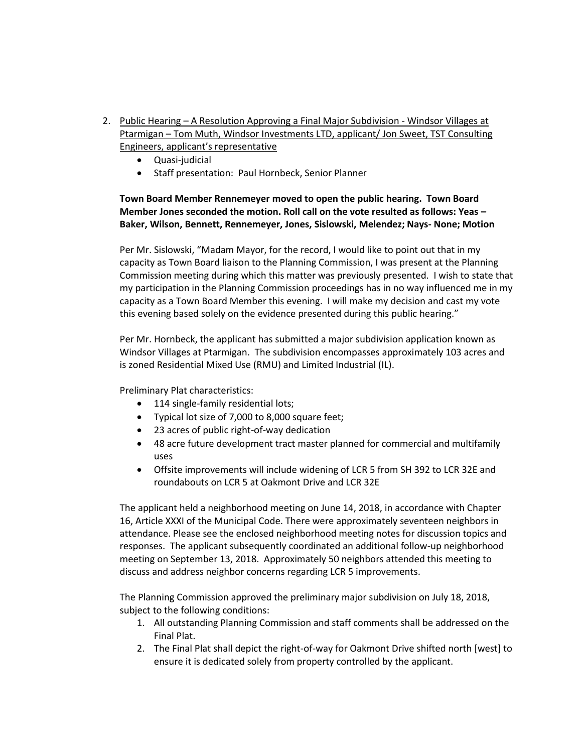- 2. Public Hearing A Resolution Approving a Final Major Subdivision Windsor Villages at Ptarmigan – Tom Muth, Windsor Investments LTD, applicant/ Jon Sweet, TST Consulting Engineers, applicant's representative
	- Quasi-judicial
	- Staff presentation: Paul Hornbeck, Senior Planner

## **Town Board Member Rennemeyer moved to open the public hearing. Town Board Member Jones seconded the motion. Roll call on the vote resulted as follows: Yeas – Baker, Wilson, Bennett, Rennemeyer, Jones, Sislowski, Melendez; Nays- None; Motion**

Per Mr. Sislowski, "Madam Mayor, for the record, I would like to point out that in my capacity as Town Board liaison to the Planning Commission, I was present at the Planning Commission meeting during which this matter was previously presented. I wish to state that my participation in the Planning Commission proceedings has in no way influenced me in my capacity as a Town Board Member this evening. I will make my decision and cast my vote this evening based solely on the evidence presented during this public hearing."

Per Mr. Hornbeck, the applicant has submitted a major subdivision application known as Windsor Villages at Ptarmigan. The subdivision encompasses approximately 103 acres and is zoned Residential Mixed Use (RMU) and Limited Industrial (IL).

Preliminary Plat characteristics:

- 114 single-family residential lots;
- Typical lot size of 7,000 to 8,000 square feet;
- 23 acres of public right-of-way dedication
- 48 acre future development tract master planned for commercial and multifamily uses
- Offsite improvements will include widening of LCR 5 from SH 392 to LCR 32E and roundabouts on LCR 5 at Oakmont Drive and LCR 32E

The applicant held a neighborhood meeting on June 14, 2018, in accordance with Chapter 16, Article XXXI of the Municipal Code. There were approximately seventeen neighbors in attendance. Please see the enclosed neighborhood meeting notes for discussion topics and responses. The applicant subsequently coordinated an additional follow-up neighborhood meeting on September 13, 2018. Approximately 50 neighbors attended this meeting to discuss and address neighbor concerns regarding LCR 5 improvements.

The Planning Commission approved the preliminary major subdivision on July 18, 2018, subject to the following conditions:

- 1. All outstanding Planning Commission and staff comments shall be addressed on the Final Plat.
- 2. The Final Plat shall depict the right-of-way for Oakmont Drive shifted north [west] to ensure it is dedicated solely from property controlled by the applicant.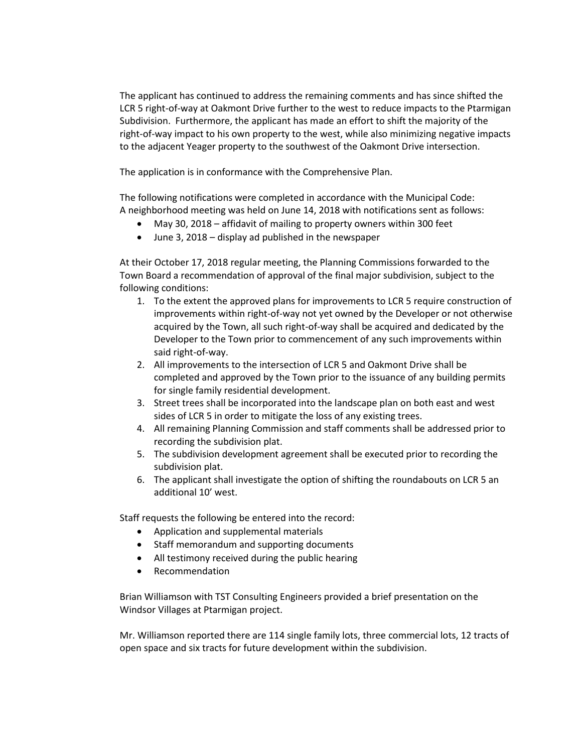The applicant has continued to address the remaining comments and has since shifted the LCR 5 right-of-way at Oakmont Drive further to the west to reduce impacts to the Ptarmigan Subdivision. Furthermore, the applicant has made an effort to shift the majority of the right-of-way impact to his own property to the west, while also minimizing negative impacts to the adjacent Yeager property to the southwest of the Oakmont Drive intersection.

The application is in conformance with the Comprehensive Plan.

The following notifications were completed in accordance with the Municipal Code: A neighborhood meeting was held on June 14, 2018 with notifications sent as follows:

- May 30, 2018 affidavit of mailing to property owners within 300 feet
- June 3, 2018 display ad published in the newspaper

At their October 17, 2018 regular meeting, the Planning Commissions forwarded to the Town Board a recommendation of approval of the final major subdivision, subject to the following conditions:

- 1. To the extent the approved plans for improvements to LCR 5 require construction of improvements within right-of-way not yet owned by the Developer or not otherwise acquired by the Town, all such right-of-way shall be acquired and dedicated by the Developer to the Town prior to commencement of any such improvements within said right-of-way.
- 2. All improvements to the intersection of LCR 5 and Oakmont Drive shall be completed and approved by the Town prior to the issuance of any building permits for single family residential development.
- 3. Street trees shall be incorporated into the landscape plan on both east and west sides of LCR 5 in order to mitigate the loss of any existing trees.
- 4. All remaining Planning Commission and staff comments shall be addressed prior to recording the subdivision plat.
- 5. The subdivision development agreement shall be executed prior to recording the subdivision plat.
- 6. The applicant shall investigate the option of shifting the roundabouts on LCR 5 an additional 10' west.

Staff requests the following be entered into the record:

- Application and supplemental materials
- Staff memorandum and supporting documents
- All testimony received during the public hearing
- Recommendation

Brian Williamson with TST Consulting Engineers provided a brief presentation on the Windsor Villages at Ptarmigan project.

Mr. Williamson reported there are 114 single family lots, three commercial lots, 12 tracts of open space and six tracts for future development within the subdivision.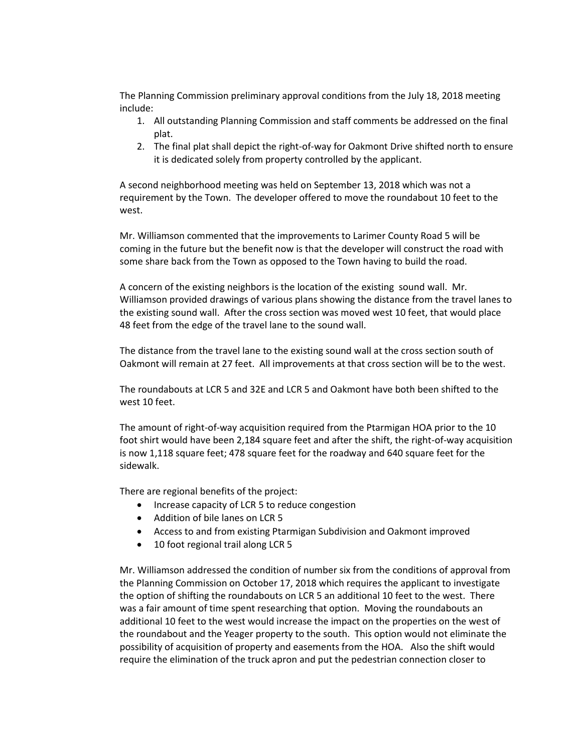The Planning Commission preliminary approval conditions from the July 18, 2018 meeting include:

- 1. All outstanding Planning Commission and staff comments be addressed on the final plat.
- 2. The final plat shall depict the right-of-way for Oakmont Drive shifted north to ensure it is dedicated solely from property controlled by the applicant.

A second neighborhood meeting was held on September 13, 2018 which was not a requirement by the Town. The developer offered to move the roundabout 10 feet to the west.

Mr. Williamson commented that the improvements to Larimer County Road 5 will be coming in the future but the benefit now is that the developer will construct the road with some share back from the Town as opposed to the Town having to build the road.

A concern of the existing neighbors is the location of the existing sound wall. Mr. Williamson provided drawings of various plans showing the distance from the travel lanes to the existing sound wall. After the cross section was moved west 10 feet, that would place 48 feet from the edge of the travel lane to the sound wall.

The distance from the travel lane to the existing sound wall at the cross section south of Oakmont will remain at 27 feet. All improvements at that cross section will be to the west.

The roundabouts at LCR 5 and 32E and LCR 5 and Oakmont have both been shifted to the west 10 feet.

The amount of right-of-way acquisition required from the Ptarmigan HOA prior to the 10 foot shirt would have been 2,184 square feet and after the shift, the right-of-way acquisition is now 1,118 square feet; 478 square feet for the roadway and 640 square feet for the sidewalk.

There are regional benefits of the project:

- Increase capacity of LCR 5 to reduce congestion
- Addition of bile lanes on LCR 5
- Access to and from existing Ptarmigan Subdivision and Oakmont improved
- 10 foot regional trail along LCR 5

Mr. Williamson addressed the condition of number six from the conditions of approval from the Planning Commission on October 17, 2018 which requires the applicant to investigate the option of shifting the roundabouts on LCR 5 an additional 10 feet to the west. There was a fair amount of time spent researching that option. Moving the roundabouts an additional 10 feet to the west would increase the impact on the properties on the west of the roundabout and the Yeager property to the south. This option would not eliminate the possibility of acquisition of property and easements from the HOA. Also the shift would require the elimination of the truck apron and put the pedestrian connection closer to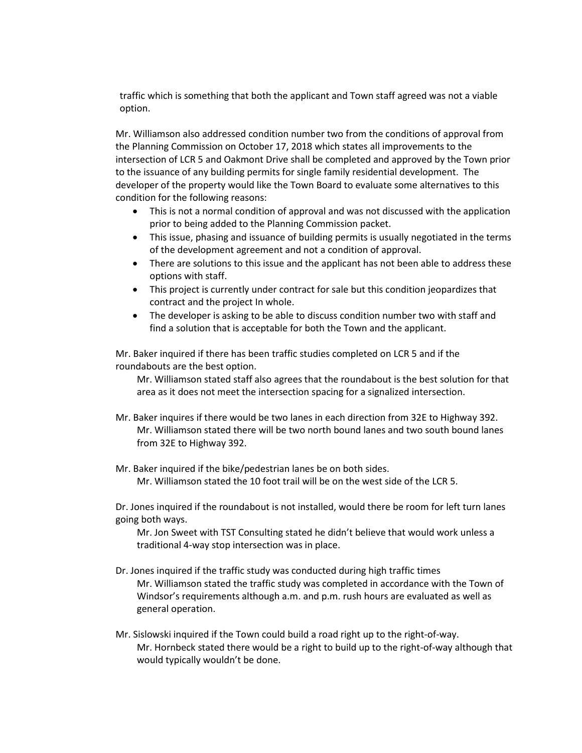traffic which is something that both the applicant and Town staff agreed was not a viable option.

Mr. Williamson also addressed condition number two from the conditions of approval from the Planning Commission on October 17, 2018 which states all improvements to the intersection of LCR 5 and Oakmont Drive shall be completed and approved by the Town prior to the issuance of any building permits for single family residential development. The developer of the property would like the Town Board to evaluate some alternatives to this condition for the following reasons:

- This is not a normal condition of approval and was not discussed with the application prior to being added to the Planning Commission packet.
- This issue, phasing and issuance of building permits is usually negotiated in the terms of the development agreement and not a condition of approval.
- There are solutions to this issue and the applicant has not been able to address these options with staff.
- This project is currently under contract for sale but this condition jeopardizes that contract and the project In whole.
- The developer is asking to be able to discuss condition number two with staff and find a solution that is acceptable for both the Town and the applicant.

Mr. Baker inquired if there has been traffic studies completed on LCR 5 and if the roundabouts are the best option.

Mr. Williamson stated staff also agrees that the roundabout is the best solution for that area as it does not meet the intersection spacing for a signalized intersection.

- Mr. Baker inquires if there would be two lanes in each direction from 32E to Highway 392. Mr. Williamson stated there will be two north bound lanes and two south bound lanes from 32E to Highway 392.
- Mr. Baker inquired if the bike/pedestrian lanes be on both sides. Mr. Williamson stated the 10 foot trail will be on the west side of the LCR 5.

Dr. Jones inquired if the roundabout is not installed, would there be room for left turn lanes going both ways.

Mr. Jon Sweet with TST Consulting stated he didn't believe that would work unless a traditional 4-way stop intersection was in place.

- Dr. Jones inquired if the traffic study was conducted during high traffic times Mr. Williamson stated the traffic study was completed in accordance with the Town of Windsor's requirements although a.m. and p.m. rush hours are evaluated as well as general operation.
- Mr. Sislowski inquired if the Town could build a road right up to the right-of-way. Mr. Hornbeck stated there would be a right to build up to the right-of-way although that would typically wouldn't be done.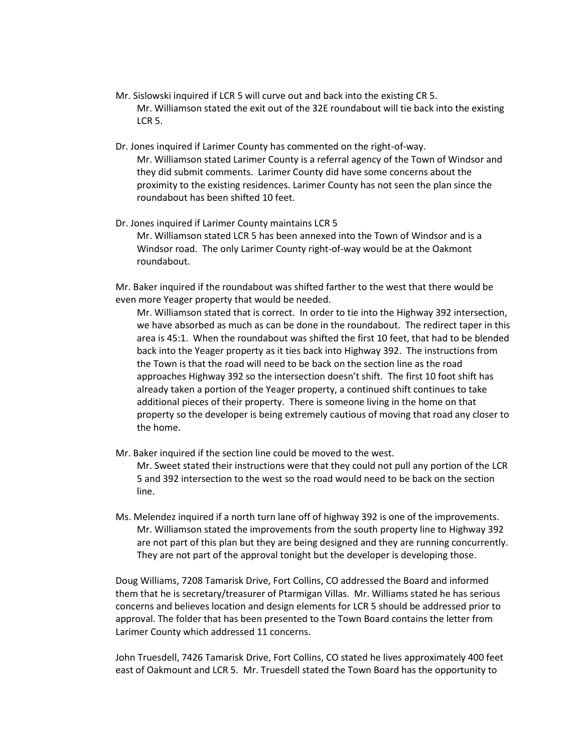- Mr. Sislowski inquired if LCR 5 will curve out and back into the existing CR 5. Mr. Williamson stated the exit out of the 32E roundabout will tie back into the existing LCR 5.
- Dr. Jones inquired if Larimer County has commented on the right-of-way. Mr. Williamson stated Larimer County is a referral agency of the Town of Windsor and they did submit comments. Larimer County did have some concerns about the proximity to the existing residences. Larimer County has not seen the plan since the roundabout has been shifted 10 feet.
- Dr. Jones inquired if Larimer County maintains LCR 5 Mr. Williamson stated LCR 5 has been annexed into the Town of Windsor and is a Windsor road. The only Larimer County right-of-way would be at the Oakmont roundabout.

Mr. Baker inquired if the roundabout was shifted farther to the west that there would be even more Yeager property that would be needed.

Mr. Williamson stated that is correct. In order to tie into the Highway 392 intersection, we have absorbed as much as can be done in the roundabout. The redirect taper in this area is 45:1. When the roundabout was shifted the first 10 feet, that had to be blended back into the Yeager property as it ties back into Highway 392. The instructions from the Town is that the road will need to be back on the section line as the road approaches Highway 392 so the intersection doesn't shift. The first 10 foot shift has already taken a portion of the Yeager property, a continued shift continues to take additional pieces of their property. There is someone living in the home on that property so the developer is being extremely cautious of moving that road any closer to the home.

- Mr. Baker inquired if the section line could be moved to the west. Mr. Sweet stated their instructions were that they could not pull any portion of the LCR 5 and 392 intersection to the west so the road would need to be back on the section line.
- Ms. Melendez inquired if a north turn lane off of highway 392 is one of the improvements. Mr. Williamson stated the improvements from the south property line to Highway 392 are not part of this plan but they are being designed and they are running concurrently. They are not part of the approval tonight but the developer is developing those.

Doug Williams, 7208 Tamarisk Drive, Fort Collins, CO addressed the Board and informed them that he is secretary/treasurer of Ptarmigan Villas. Mr. Williams stated he has serious concerns and believes location and design elements for LCR 5 should be addressed prior to approval. The folder that has been presented to the Town Board contains the letter from Larimer County which addressed 11 concerns.

John Truesdell, 7426 Tamarisk Drive, Fort Collins, CO stated he lives approximately 400 feet east of Oakmount and LCR 5. Mr. Truesdell stated the Town Board has the opportunity to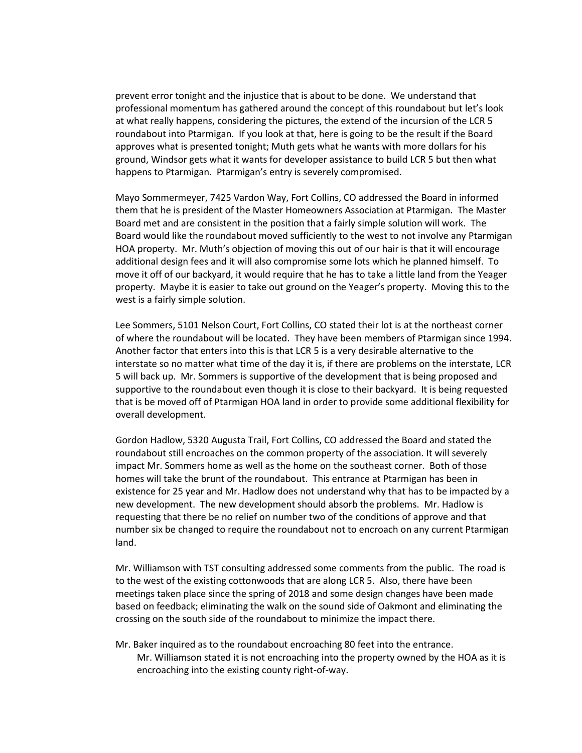prevent error tonight and the injustice that is about to be done. We understand that professional momentum has gathered around the concept of this roundabout but let's look at what really happens, considering the pictures, the extend of the incursion of the LCR 5 roundabout into Ptarmigan. If you look at that, here is going to be the result if the Board approves what is presented tonight; Muth gets what he wants with more dollars for his ground, Windsor gets what it wants for developer assistance to build LCR 5 but then what happens to Ptarmigan. Ptarmigan's entry is severely compromised.

Mayo Sommermeyer, 7425 Vardon Way, Fort Collins, CO addressed the Board in informed them that he is president of the Master Homeowners Association at Ptarmigan. The Master Board met and are consistent in the position that a fairly simple solution will work. The Board would like the roundabout moved sufficiently to the west to not involve any Ptarmigan HOA property. Mr. Muth's objection of moving this out of our hair is that it will encourage additional design fees and it will also compromise some lots which he planned himself. To move it off of our backyard, it would require that he has to take a little land from the Yeager property. Maybe it is easier to take out ground on the Yeager's property. Moving this to the west is a fairly simple solution.

Lee Sommers, 5101 Nelson Court, Fort Collins, CO stated their lot is at the northeast corner of where the roundabout will be located. They have been members of Ptarmigan since 1994. Another factor that enters into this is that LCR 5 is a very desirable alternative to the interstate so no matter what time of the day it is, if there are problems on the interstate, LCR 5 will back up. Mr. Sommers is supportive of the development that is being proposed and supportive to the roundabout even though it is close to their backyard. It is being requested that is be moved off of Ptarmigan HOA land in order to provide some additional flexibility for overall development.

Gordon Hadlow, 5320 Augusta Trail, Fort Collins, CO addressed the Board and stated the roundabout still encroaches on the common property of the association. It will severely impact Mr. Sommers home as well as the home on the southeast corner. Both of those homes will take the brunt of the roundabout. This entrance at Ptarmigan has been in existence for 25 year and Mr. Hadlow does not understand why that has to be impacted by a new development. The new development should absorb the problems. Mr. Hadlow is requesting that there be no relief on number two of the conditions of approve and that number six be changed to require the roundabout not to encroach on any current Ptarmigan land.

Mr. Williamson with TST consulting addressed some comments from the public. The road is to the west of the existing cottonwoods that are along LCR 5. Also, there have been meetings taken place since the spring of 2018 and some design changes have been made based on feedback; eliminating the walk on the sound side of Oakmont and eliminating the crossing on the south side of the roundabout to minimize the impact there.

Mr. Baker inquired as to the roundabout encroaching 80 feet into the entrance. Mr. Williamson stated it is not encroaching into the property owned by the HOA as it is encroaching into the existing county right-of-way.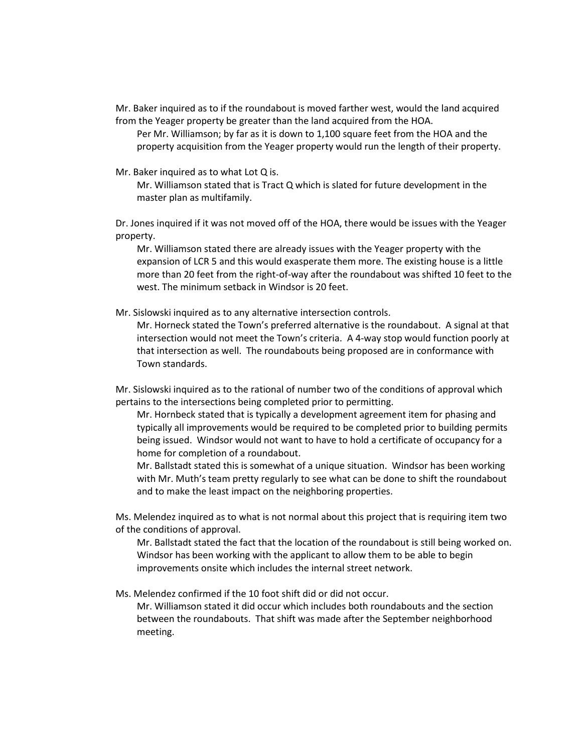Mr. Baker inquired as to if the roundabout is moved farther west, would the land acquired from the Yeager property be greater than the land acquired from the HOA.

Per Mr. Williamson; by far as it is down to 1,100 square feet from the HOA and the property acquisition from the Yeager property would run the length of their property.

Mr. Baker inquired as to what Lot Q is.

Mr. Williamson stated that is Tract Q which is slated for future development in the master plan as multifamily.

Dr. Jones inquired if it was not moved off of the HOA, there would be issues with the Yeager property.

Mr. Williamson stated there are already issues with the Yeager property with the expansion of LCR 5 and this would exasperate them more. The existing house is a little more than 20 feet from the right-of-way after the roundabout was shifted 10 feet to the west. The minimum setback in Windsor is 20 feet.

Mr. Sislowski inquired as to any alternative intersection controls.

Mr. Horneck stated the Town's preferred alternative is the roundabout. A signal at that intersection would not meet the Town's criteria. A 4-way stop would function poorly at that intersection as well. The roundabouts being proposed are in conformance with Town standards.

Mr. Sislowski inquired as to the rational of number two of the conditions of approval which pertains to the intersections being completed prior to permitting.

Mr. Hornbeck stated that is typically a development agreement item for phasing and typically all improvements would be required to be completed prior to building permits being issued. Windsor would not want to have to hold a certificate of occupancy for a home for completion of a roundabout.

Mr. Ballstadt stated this is somewhat of a unique situation. Windsor has been working with Mr. Muth's team pretty regularly to see what can be done to shift the roundabout and to make the least impact on the neighboring properties.

Ms. Melendez inquired as to what is not normal about this project that is requiring item two of the conditions of approval.

Mr. Ballstadt stated the fact that the location of the roundabout is still being worked on. Windsor has been working with the applicant to allow them to be able to begin improvements onsite which includes the internal street network.

Ms. Melendez confirmed if the 10 foot shift did or did not occur.

Mr. Williamson stated it did occur which includes both roundabouts and the section between the roundabouts. That shift was made after the September neighborhood meeting.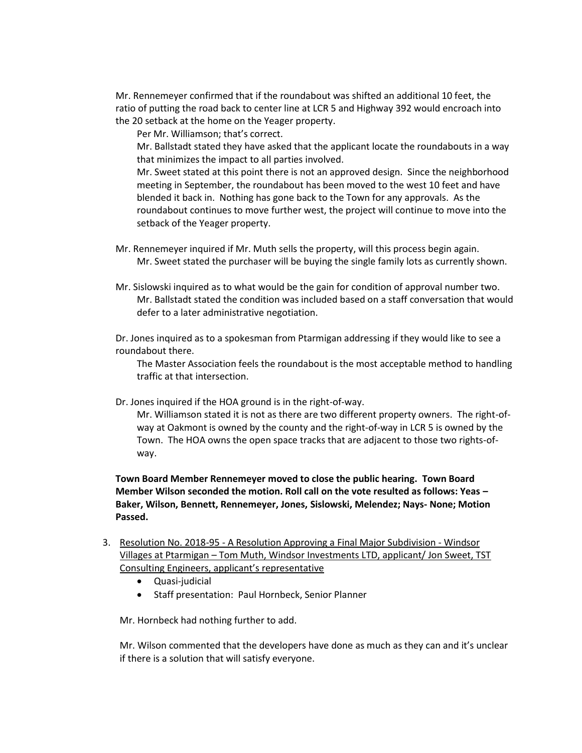Mr. Rennemeyer confirmed that if the roundabout was shifted an additional 10 feet, the ratio of putting the road back to center line at LCR 5 and Highway 392 would encroach into the 20 setback at the home on the Yeager property.

Per Mr. Williamson; that's correct.

Mr. Ballstadt stated they have asked that the applicant locate the roundabouts in a way that minimizes the impact to all parties involved.

Mr. Sweet stated at this point there is not an approved design. Since the neighborhood meeting in September, the roundabout has been moved to the west 10 feet and have blended it back in. Nothing has gone back to the Town for any approvals. As the roundabout continues to move further west, the project will continue to move into the setback of the Yeager property.

- Mr. Rennemeyer inquired if Mr. Muth sells the property, will this process begin again. Mr. Sweet stated the purchaser will be buying the single family lots as currently shown.
- Mr. Sislowski inquired as to what would be the gain for condition of approval number two. Mr. Ballstadt stated the condition was included based on a staff conversation that would defer to a later administrative negotiation.

Dr. Jones inquired as to a spokesman from Ptarmigan addressing if they would like to see a roundabout there.

The Master Association feels the roundabout is the most acceptable method to handling traffic at that intersection.

Dr. Jones inquired if the HOA ground is in the right-of-way.

Mr. Williamson stated it is not as there are two different property owners. The right-ofway at Oakmont is owned by the county and the right-of-way in LCR 5 is owned by the Town. The HOA owns the open space tracks that are adjacent to those two rights-ofway.

**Town Board Member Rennemeyer moved to close the public hearing. Town Board Member Wilson seconded the motion. Roll call on the vote resulted as follows: Yeas – Baker, Wilson, Bennett, Rennemeyer, Jones, Sislowski, Melendez; Nays- None; Motion Passed.** 

- 3. Resolution No. 2018-95 A Resolution Approving a Final Major Subdivision Windsor Villages at Ptarmigan – Tom Muth, Windsor Investments LTD, applicant/ Jon Sweet, TST Consulting Engineers, applicant's representative
	- Quasi-judicial
	- Staff presentation: Paul Hornbeck, Senior Planner

Mr. Hornbeck had nothing further to add.

Mr. Wilson commented that the developers have done as much as they can and it's unclear if there is a solution that will satisfy everyone.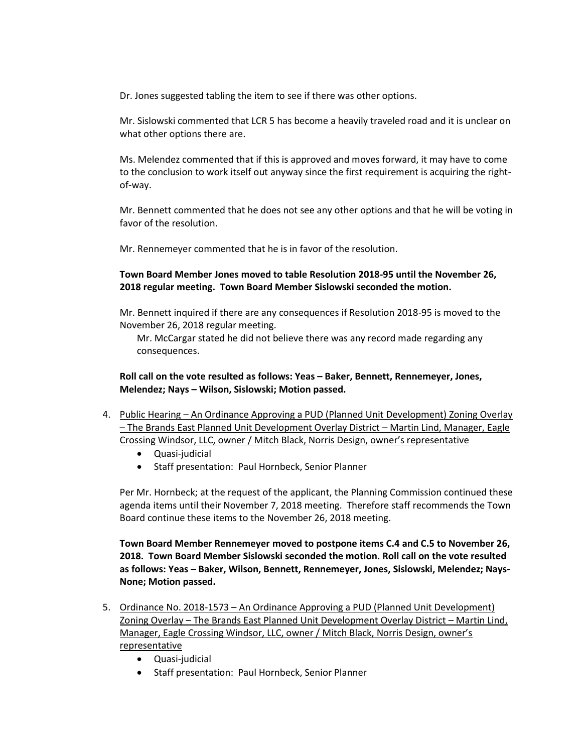Dr. Jones suggested tabling the item to see if there was other options.

Mr. Sislowski commented that LCR 5 has become a heavily traveled road and it is unclear on what other options there are.

Ms. Melendez commented that if this is approved and moves forward, it may have to come to the conclusion to work itself out anyway since the first requirement is acquiring the rightof-way.

Mr. Bennett commented that he does not see any other options and that he will be voting in favor of the resolution.

Mr. Rennemeyer commented that he is in favor of the resolution.

## **Town Board Member Jones moved to table Resolution 2018-95 until the November 26, 2018 regular meeting. Town Board Member Sislowski seconded the motion.**

Mr. Bennett inquired if there are any consequences if Resolution 2018-95 is moved to the November 26, 2018 regular meeting.

Mr. McCargar stated he did not believe there was any record made regarding any consequences.

**Roll call on the vote resulted as follows: Yeas – Baker, Bennett, Rennemeyer, Jones, Melendez; Nays – Wilson, Sislowski; Motion passed.** 

- 4. Public Hearing An Ordinance Approving a PUD (Planned Unit Development) Zoning Overlay – The Brands East Planned Unit Development Overlay District – Martin Lind, Manager, Eagle Crossing Windsor, LLC, owner / Mitch Black, Norris Design, owner's representative
	- Quasi-judicial
	- Staff presentation: Paul Hornbeck, Senior Planner

Per Mr. Hornbeck; at the request of the applicant, the Planning Commission continued these agenda items until their November 7, 2018 meeting. Therefore staff recommends the Town Board continue these items to the November 26, 2018 meeting.

**Town Board Member Rennemeyer moved to postpone items C.4 and C.5 to November 26, 2018. Town Board Member Sislowski seconded the motion. Roll call on the vote resulted as follows: Yeas – Baker, Wilson, Bennett, Rennemeyer, Jones, Sislowski, Melendez; Nays-None; Motion passed.** 

- 5. Ordinance No. 2018-1573 An Ordinance Approving a PUD (Planned Unit Development) Zoning Overlay – The Brands East Planned Unit Development Overlay District – Martin Lind, Manager, Eagle Crossing Windsor, LLC, owner / Mitch Black, Norris Design, owner's representative
	- Quasi-judicial
	- Staff presentation: Paul Hornbeck, Senior Planner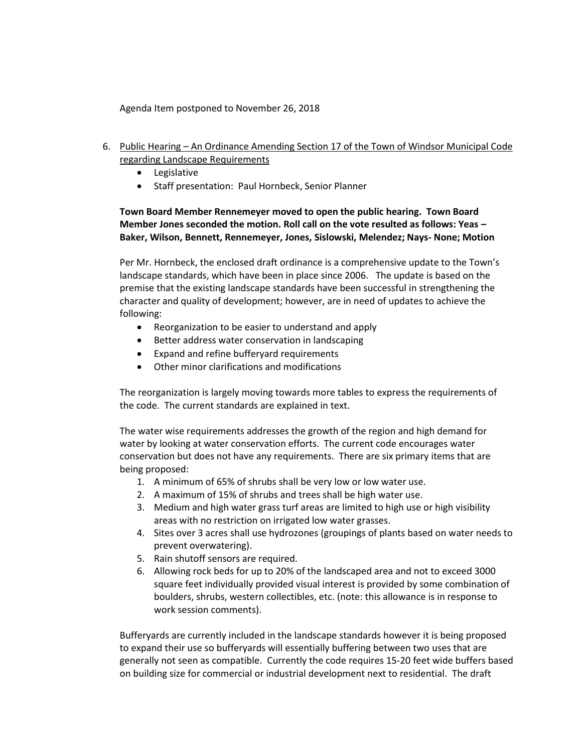Agenda Item postponed to November 26, 2018

- 6. Public Hearing An Ordinance Amending Section 17 of the Town of Windsor Municipal Code regarding Landscape Requirements
	- **•** Legislative
	- Staff presentation: Paul Hornbeck, Senior Planner

## **Town Board Member Rennemeyer moved to open the public hearing. Town Board Member Jones seconded the motion. Roll call on the vote resulted as follows: Yeas – Baker, Wilson, Bennett, Rennemeyer, Jones, Sislowski, Melendez; Nays- None; Motion**

Per Mr. Hornbeck, the enclosed draft ordinance is a comprehensive update to the Town's landscape standards, which have been in place since 2006. The update is based on the premise that the existing landscape standards have been successful in strengthening the character and quality of development; however, are in need of updates to achieve the following:

- Reorganization to be easier to understand and apply
- Better address water conservation in landscaping
- Expand and refine bufferyard requirements
- Other minor clarifications and modifications

The reorganization is largely moving towards more tables to express the requirements of the code. The current standards are explained in text.

The water wise requirements addresses the growth of the region and high demand for water by looking at water conservation efforts. The current code encourages water conservation but does not have any requirements. There are six primary items that are being proposed:

- 1. A minimum of 65% of shrubs shall be very low or low water use.
- 2. A maximum of 15% of shrubs and trees shall be high water use.
- 3. Medium and high water grass turf areas are limited to high use or high visibility areas with no restriction on irrigated low water grasses.
- 4. Sites over 3 acres shall use hydrozones (groupings of plants based on water needs to prevent overwatering).
- 5. Rain shutoff sensors are required.
- 6. Allowing rock beds for up to 20% of the landscaped area and not to exceed 3000 square feet individually provided visual interest is provided by some combination of boulders, shrubs, western collectibles, etc. (note: this allowance is in response to work session comments).

Bufferyards are currently included in the landscape standards however it is being proposed to expand their use so bufferyards will essentially buffering between two uses that are generally not seen as compatible. Currently the code requires 15-20 feet wide buffers based on building size for commercial or industrial development next to residential. The draft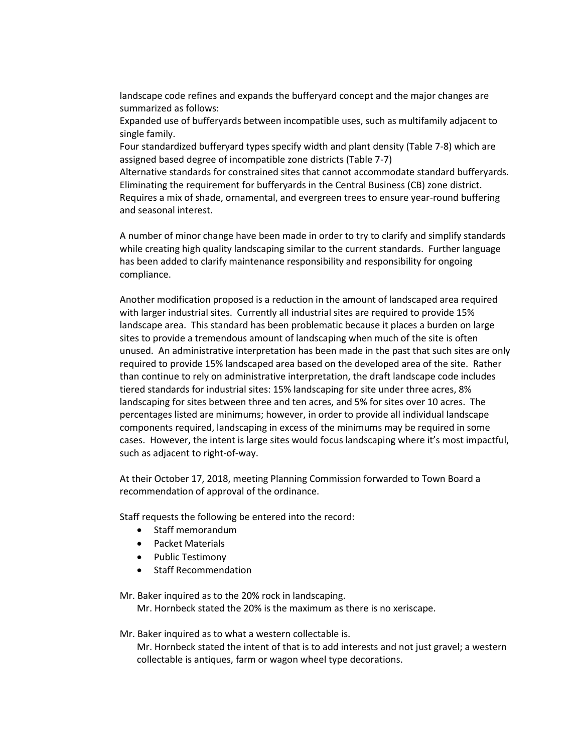landscape code refines and expands the bufferyard concept and the major changes are summarized as follows:

Expanded use of bufferyards between incompatible uses, such as multifamily adjacent to single family.

Four standardized bufferyard types specify width and plant density (Table 7-8) which are assigned based degree of incompatible zone districts (Table 7-7)

Alternative standards for constrained sites that cannot accommodate standard bufferyards. Eliminating the requirement for bufferyards in the Central Business (CB) zone district. Requires a mix of shade, ornamental, and evergreen trees to ensure year-round buffering and seasonal interest.

A number of minor change have been made in order to try to clarify and simplify standards while creating high quality landscaping similar to the current standards. Further language has been added to clarify maintenance responsibility and responsibility for ongoing compliance.

Another modification proposed is a reduction in the amount of landscaped area required with larger industrial sites. Currently all industrial sites are required to provide 15% landscape area. This standard has been problematic because it places a burden on large sites to provide a tremendous amount of landscaping when much of the site is often unused. An administrative interpretation has been made in the past that such sites are only required to provide 15% landscaped area based on the developed area of the site. Rather than continue to rely on administrative interpretation, the draft landscape code includes tiered standards for industrial sites: 15% landscaping for site under three acres, 8% landscaping for sites between three and ten acres, and 5% for sites over 10 acres. The percentages listed are minimums; however, in order to provide all individual landscape components required, landscaping in excess of the minimums may be required in some cases. However, the intent is large sites would focus landscaping where it's most impactful, such as adjacent to right-of-way.

At their October 17, 2018, meeting Planning Commission forwarded to Town Board a recommendation of approval of the ordinance.

Staff requests the following be entered into the record:

- Staff memorandum
- Packet Materials
- Public Testimony
- Staff Recommendation

Mr. Baker inquired as to the 20% rock in landscaping. Mr. Hornbeck stated the 20% is the maximum as there is no xeriscape.

#### Mr. Baker inquired as to what a western collectable is.

Mr. Hornbeck stated the intent of that is to add interests and not just gravel; a western collectable is antiques, farm or wagon wheel type decorations.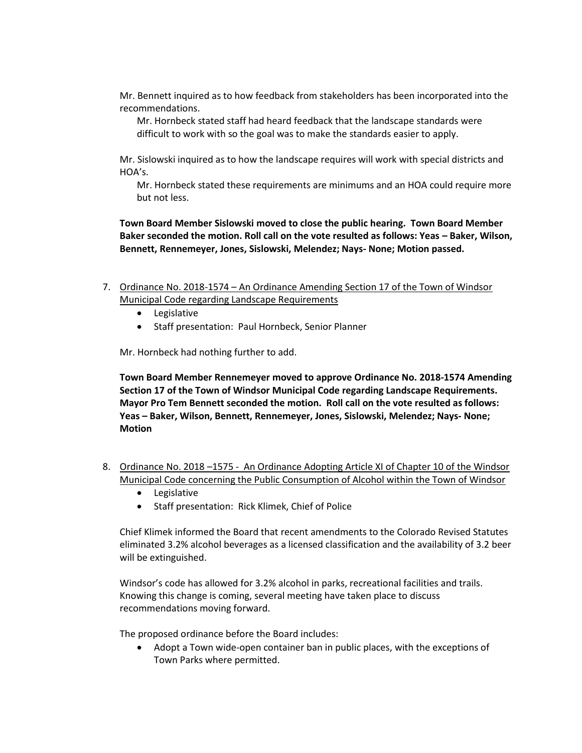Mr. Bennett inquired as to how feedback from stakeholders has been incorporated into the recommendations.

Mr. Hornbeck stated staff had heard feedback that the landscape standards were difficult to work with so the goal was to make the standards easier to apply.

Mr. Sislowski inquired as to how the landscape requires will work with special districts and HOA's.

Mr. Hornbeck stated these requirements are minimums and an HOA could require more but not less.

**Town Board Member Sislowski moved to close the public hearing. Town Board Member Baker seconded the motion. Roll call on the vote resulted as follows: Yeas – Baker, Wilson, Bennett, Rennemeyer, Jones, Sislowski, Melendez; Nays- None; Motion passed.** 

- 7. Ordinance No. 2018-1574 An Ordinance Amending Section 17 of the Town of Windsor Municipal Code regarding Landscape Requirements
	- Legislative
	- Staff presentation: Paul Hornbeck, Senior Planner

Mr. Hornbeck had nothing further to add.

**Town Board Member Rennemeyer moved to approve Ordinance No. 2018-1574 Amending Section 17 of the Town of Windsor Municipal Code regarding Landscape Requirements. Mayor Pro Tem Bennett seconded the motion. Roll call on the vote resulted as follows: Yeas – Baker, Wilson, Bennett, Rennemeyer, Jones, Sislowski, Melendez; Nays- None; Motion** 

- 8. Ordinance No. 2018 –1575 An Ordinance Adopting Article XI of Chapter 10 of the Windsor Municipal Code concerning the Public Consumption of Alcohol within the Town of Windsor
	- **•** Legislative
	- Staff presentation: Rick Klimek, Chief of Police

Chief Klimek informed the Board that recent amendments to the Colorado Revised Statutes eliminated 3.2% alcohol beverages as a licensed classification and the availability of 3.2 beer will be extinguished.

Windsor's code has allowed for 3.2% alcohol in parks, recreational facilities and trails. Knowing this change is coming, several meeting have taken place to discuss recommendations moving forward.

The proposed ordinance before the Board includes:

 Adopt a Town wide-open container ban in public places, with the exceptions of Town Parks where permitted.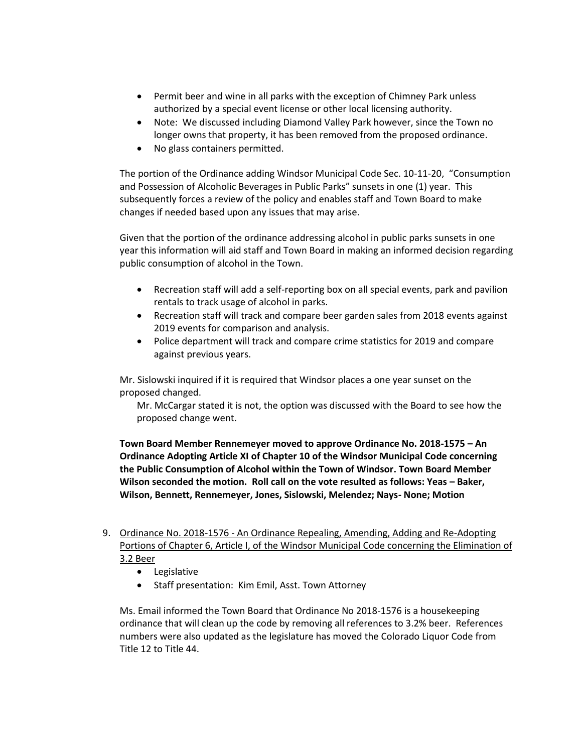- Permit beer and wine in all parks with the exception of Chimney Park unless authorized by a special event license or other local licensing authority.
- Note: We discussed including Diamond Valley Park however, since the Town no longer owns that property, it has been removed from the proposed ordinance.
- No glass containers permitted.

The portion of the Ordinance adding Windsor Municipal Code Sec. 10-11-20, "Consumption and Possession of Alcoholic Beverages in Public Parks" sunsets in one (1) year. This subsequently forces a review of the policy and enables staff and Town Board to make changes if needed based upon any issues that may arise.

Given that the portion of the ordinance addressing alcohol in public parks sunsets in one year this information will aid staff and Town Board in making an informed decision regarding public consumption of alcohol in the Town.

- Recreation staff will add a self-reporting box on all special events, park and pavilion rentals to track usage of alcohol in parks.
- Recreation staff will track and compare beer garden sales from 2018 events against 2019 events for comparison and analysis.
- Police department will track and compare crime statistics for 2019 and compare against previous years.

Mr. Sislowski inquired if it is required that Windsor places a one year sunset on the proposed changed.

Mr. McCargar stated it is not, the option was discussed with the Board to see how the proposed change went.

**Town Board Member Rennemeyer moved to approve Ordinance No. 2018-1575 – An Ordinance Adopting Article XI of Chapter 10 of the Windsor Municipal Code concerning the Public Consumption of Alcohol within the Town of Windsor. Town Board Member Wilson seconded the motion. Roll call on the vote resulted as follows: Yeas - Baker, Wilson, Bennett, Rennemeyer, Jones, Sislowski, Melendez; Nays- None; Motion** 

- 9. Ordinance No. 2018-1576 An Ordinance Repealing, Amending, Adding and Re-Adopting Portions of Chapter 6, Article I, of the Windsor Municipal Code concerning the Elimination of 3.2 Beer
	- Legislative
	- Staff presentation: Kim Emil, Asst. Town Attorney

Ms. Email informed the Town Board that Ordinance No 2018-1576 is a housekeeping ordinance that will clean up the code by removing all references to 3.2% beer. References numbers were also updated as the legislature has moved the Colorado Liquor Code from Title 12 to Title 44.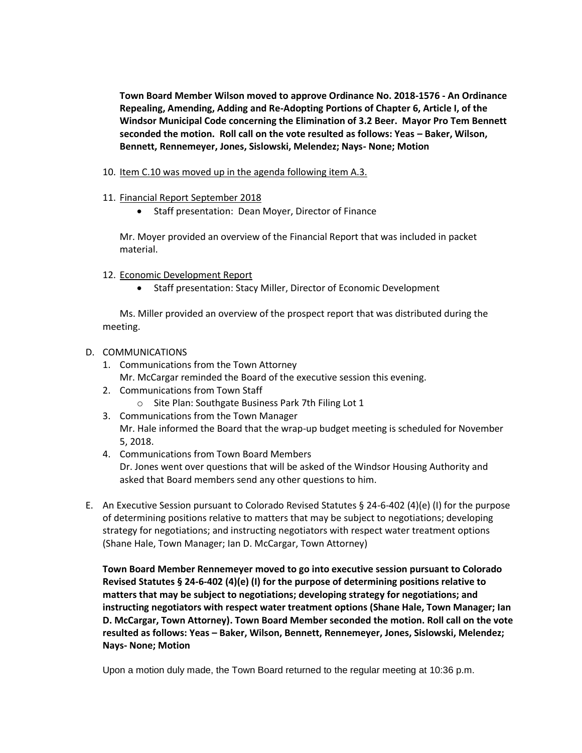**Town Board Member Wilson moved to approve Ordinance No. 2018-1576 - An Ordinance Repealing, Amending, Adding and Re-Adopting Portions of Chapter 6, Article I, of the Windsor Municipal Code concerning the Elimination of 3.2 Beer. Mayor Pro Tem Bennett seconded the motion. Roll call on the vote resulted as follows: Yeas – Baker, Wilson, Bennett, Rennemeyer, Jones, Sislowski, Melendez; Nays- None; Motion** 

- 10. Item C.10 was moved up in the agenda following item A.3.
- 11. Financial Report September 2018
	- Staff presentation: Dean Moyer, Director of Finance

Mr. Moyer provided an overview of the Financial Report that was included in packet material.

- 12. Economic Development Report
	- Staff presentation: Stacy Miller, Director of Economic Development

Ms. Miller provided an overview of the prospect report that was distributed during the meeting.

#### D. COMMUNICATIONS

- 1. Communications from the Town Attorney Mr. McCargar reminded the Board of the executive session this evening.
- 2. Communications from Town Staff o Site Plan: Southgate Business Park 7th Filing Lot 1
- 3. Communications from the Town Manager Mr. Hale informed the Board that the wrap-up budget meeting is scheduled for November
- 5, 2018. 4. Communications from Town Board Members Dr. Jones went over questions that will be asked of the Windsor Housing Authority and asked that Board members send any other questions to him.
- E. An Executive Session pursuant to Colorado Revised Statutes § 24-6-402 (4)(e) (I) for the purpose of determining positions relative to matters that may be subject to negotiations; developing strategy for negotiations; and instructing negotiators with respect water treatment options (Shane Hale, Town Manager; Ian D. McCargar, Town Attorney)

**Town Board Member Rennemeyer moved to go into executive session pursuant to Colorado Revised Statutes § 24-6-402 (4)(e) (I) for the purpose of determining positions relative to matters that may be subject to negotiations; developing strategy for negotiations; and instructing negotiators with respect water treatment options (Shane Hale, Town Manager; Ian D. McCargar, Town Attorney). Town Board Member seconded the motion. Roll call on the vote resulted as follows: Yeas – Baker, Wilson, Bennett, Rennemeyer, Jones, Sislowski, Melendez; Nays- None; Motion** 

Upon a motion duly made, the Town Board returned to the regular meeting at 10:36 p.m.